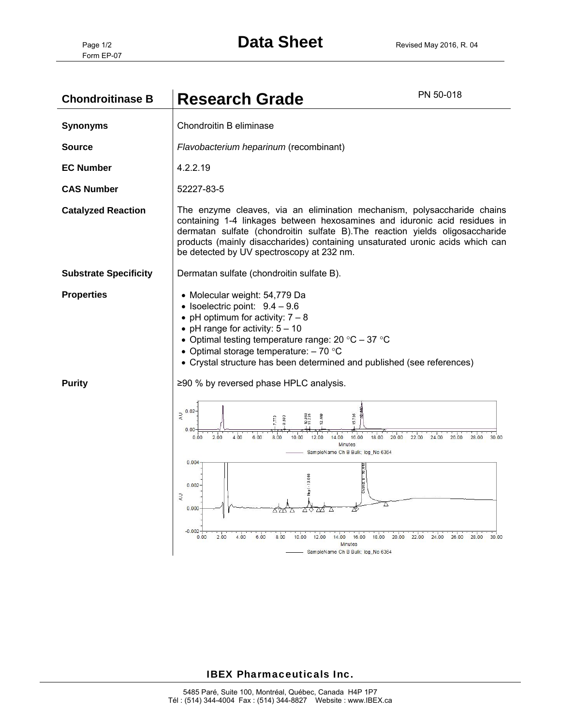| <b>Chondroitinase B</b>      | <b>Research Grade</b>                                                                                                                                                                                                                                                                                                                                               | PN 50-018                                       |
|------------------------------|---------------------------------------------------------------------------------------------------------------------------------------------------------------------------------------------------------------------------------------------------------------------------------------------------------------------------------------------------------------------|-------------------------------------------------|
| <b>Synonyms</b>              | Chondroitin B eliminase                                                                                                                                                                                                                                                                                                                                             |                                                 |
| <b>Source</b>                | Flavobacterium heparinum (recombinant)                                                                                                                                                                                                                                                                                                                              |                                                 |
| <b>EC Number</b>             | 4.2.2.19                                                                                                                                                                                                                                                                                                                                                            |                                                 |
| <b>CAS Number</b>            | 52227-83-5                                                                                                                                                                                                                                                                                                                                                          |                                                 |
| <b>Catalyzed Reaction</b>    | The enzyme cleaves, via an elimination mechanism, polysaccharide chains<br>containing 1-4 linkages between hexosamines and iduronic acid residues in<br>dermatan sulfate (chondroitin sulfate B). The reaction yields oligosaccharide<br>products (mainly disaccharides) containing unsaturated uronic acids which can<br>be detected by UV spectroscopy at 232 nm. |                                                 |
| <b>Substrate Specificity</b> | Dermatan sulfate (chondroitin sulfate B).                                                                                                                                                                                                                                                                                                                           |                                                 |
| <b>Properties</b>            | • Molecular weight: 54,779 Da<br>• Isoelectric point: $9.4 - 9.6$<br>• pH optimum for activity: $7 - 8$<br>• pH range for activity: $5 - 10$<br>• Optimal testing temperature range: $20 °C - 37 °C$<br>• Optimal storage temperature: $-70$ °C<br>• Crystal structure has been determined and published (see references)                                           |                                                 |
| <b>Purity</b>                | ≥90 % by reversed phase HPLC analysis.                                                                                                                                                                                                                                                                                                                              |                                                 |
|                              | $\Rightarrow \atop \approx 0.02$<br>15.705<br>8.683<br>0.00<br>4.00<br>6.00<br>18.00 20.00 22.00<br>2.00<br>8.00<br>16.00<br>10.00<br>12.00<br>0.00<br>1400<br><b>Minutes</b><br>SampleName Ch B Bulk; log_No 6364                                                                                                                                                  | 24.00<br>26.00<br>28.00<br>30.00                |
|                              | 0.004<br>Hepl - 10.868<br>0.002<br>$\lambda$<br>A<br>0.000<br>$-0.002$                                                                                                                                                                                                                                                                                              |                                                 |
|                              | 4.00<br>6.00<br>0.00<br>200<br>8.00<br>12.00<br>16.00<br>18.00<br>10.00<br>14.00<br>Minutes<br>SampleName Ch B Bulk; log_No 6364                                                                                                                                                                                                                                    | 20.00 22.00<br>24.00<br>26.00<br>28.00<br>30.00 |

## IBEX Pharmaceuticals Inc.